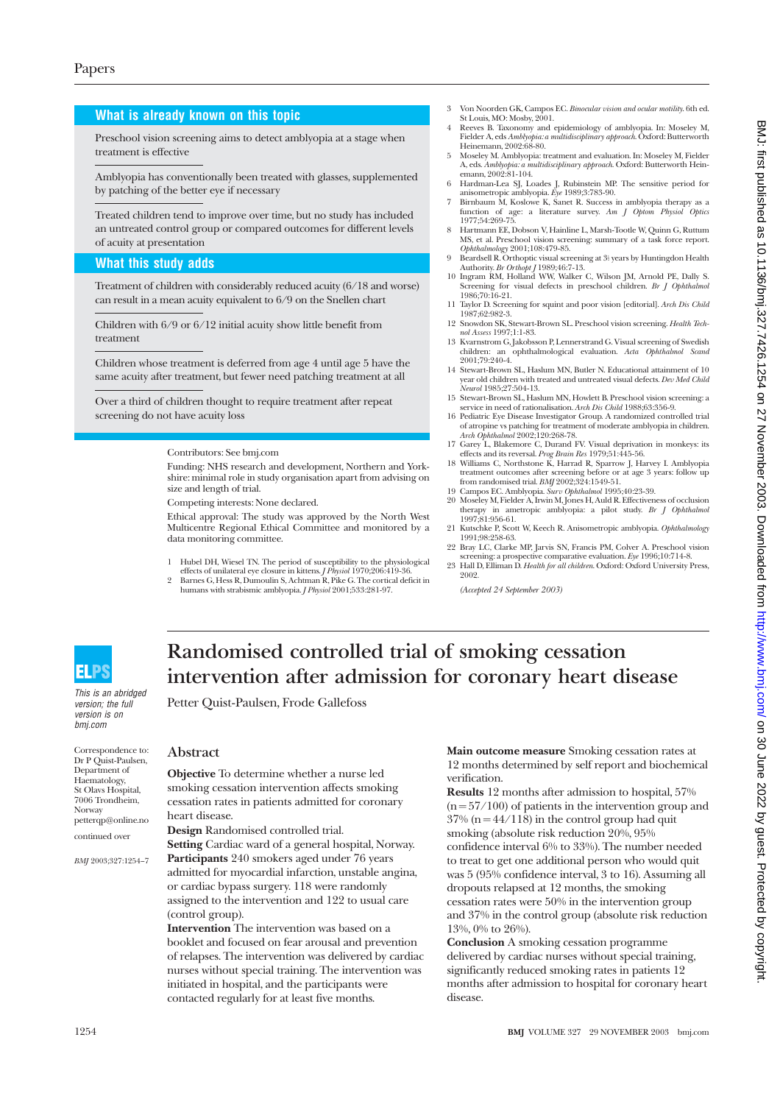## **What is already known on this topic**

Preschool vision screening aims to detect amblyopia at a stage when treatment is effective

Amblyopia has conventionally been treated with glasses, supplemented by patching of the better eye if necessary

Treated children tend to improve over time, but no study has included an untreated control group or compared outcomes for different levels of acuity at presentation

# **What this study adds**

Treatment of children with considerably reduced acuity (6/18 and worse) can result in a mean acuity equivalent to 6/9 on the Snellen chart

Children with 6/9 or 6/12 initial acuity show little benefit from treatment

Children whose treatment is deferred from age 4 until age 5 have the same acuity after treatment, but fewer need patching treatment at all

Over a third of children thought to require treatment after repeat screening do not have acuity loss

Contributors: See bmj.com

Funding: NHS research and development, Northern and Yorkshire: minimal role in study organisation apart from advising on size and length of trial.

Competing interests: None declared.

Ethical approval: The study was approved by the North West Multicentre Regional Ethical Committee and monitored by a data monitoring committee.

- 1 Hubel DH, Wiesel TN. The period of susceptibility to the physiological effects of unilateral eye closure in kittens. *J Physiol* 1970;206:419-36.
- 2 Barnes G, Hess R, Dumoulin S, Achtman R, Pike G. The cortical deficit in humans with strabismic amblyopia. *J Physiol* 2001;533:281-97.
- 3 Von Noorden GK, Campos EC. *Binocular vision and ocular motility*. 6th ed. St Louis, MO: Mosby, 2001.
- 4 Reeves B. Taxonomy and epidemiology of amblyopia. In: Moseley M, Fielder A, eds *Amblyopia: a multidisciplinary approach*. Oxford: Butterworth Heinemann, 2002:68-80.
- 5 Moseley M. Amblyopia: treatment and evaluation. In: Moseley M, Fielder A, eds. *Amblyopia: a multidisciplinary approach*. Oxford: Butterworth Hein-emann, 2002:81-104.
- 6 Hardman-Lea SJ, Loades J, Rubinstein MP. The sensitive period for anisometropic amblyopia. *Eye* 1989;3:783-90. 7 Birnbaum M, Koslowe K, Sanet R. Success in amblyopia therapy as a
- function of age: a literature survey. *Am J Optom Physiol Optics* 1977;54:269-75.
- 8 Hartmann EE, Dobson V, Hainline L, Marsh-Tootle W, Quinn G, Ruttum MS, et al. Preschool vision screening: summary of a task force report. *Ophthalmology* 2001;108:479-85.<br>9 Beardsell R. Orthoptic visual screening at 3<sup>1</sup> years by Huntingdon Health
- Authority. *Br Orthopt J* 1989;46:7-13. 10 Ingram RM, Holland WW, Walker C, Wilson JM, Arnold PE, Dally S.
- Screening for visual defects in preschool children. *Br J Ophthalmol* 1986;70:16-21.
- 11 Taylor D. Screening for squint and poor vision [editorial]. *Arch Dis Child* 1987;62:982-3.
- 12 Snowdon SK, Stewart-Brown SL. Preschool vision screening. *Health Technol Assess* 1997;1:1-83. 13 Kvarnstrom G, Jakobsson P, Lennerstrand G. Visual screening of Swedish
- children: an ophthalmological evaluation. *Acta Ophthalmol Scand* 2001;79:240-4.
- 14 Stewart-Brown SL, Haslum MN, Butler N. Educational attainment of 10 year old children with treated and untreated visual defects. *Dev Med Child Neurol* 1985;27:504-13.
- 15 Stewart-Brown SL, Haslum MN, Howlett B. Preschool vision screening: a
- service in need of rationalisation. Arch Dis Child 1988;63:356-9.<br>16 Pediatric Eye Disease Investigator Group. A randomized controlled trial<br>of atropine vs patching for treatment of moderate amblyopia in children.<br>Arch Op
- 17 Garey L, Blakemore C, Durand FV. Visual deprivation in monkeys: its effects and its reversal. *Prog Brain Res* 1979;51:445-56.
- 18 Williams C, Northstone K, Harrad R, Sparrow J, Harvey I. Amblyopia treatment outcomes after screening before or at age 3 years: follow up from randomised trial. *BMJ* 2002;324:1549-51. 19 Campos EC. Amblyopia. *Surv Ophthalmol* 1995;40:23-39.
- 20 Moseley M, Fielder A, Irwin M, Jones H, Auld R. Effectiveness of occlusion
- therapy in ametropic amblyopia: a pilot study. *Br J Ophthalmol* 1997;81:956-61. 21 Kutschke P, Scott W, Keech R. Anisometropic amblyopia. *Ophthalmology*
- 1991;98:258-63. 22 Bray LC, Clarke MP, Jarvis SN, Francis PM, Colver A. Preschool vision
- screening: a prospective comparative evaluation. *Eye* 1996;10:714-8. 23 Hall D, Elliman D. *Health for all children*. Oxford: Oxford University Press, 2002.

*(Accepted 24 September 2003)*



This is an abridged version; the full version is on bmj.com

Correspondence to: Dr P Quist-Paulsen, Department of Haematology, St Olavs Hospital, 7006 Trondheim, Norway petterqp@online.no continued over

*BMJ* 2003;327:1254–7

# **intervention after admission for coronary heart disease** Petter Quist-Paulsen, Frode Gallefoss

**Randomised controlled trial of smoking cessation**

# **Abstract**

**Objective** To determine whether a nurse led smoking cessation intervention affects smoking cessation rates in patients admitted for coronary heart disease.

**Design** Randomised controlled trial.

**Setting** Cardiac ward of a general hospital, Norway. **Participants** 240 smokers aged under 76 years admitted for myocardial infarction, unstable angina, or cardiac bypass surgery. 118 were randomly assigned to the intervention and 122 to usual care (control group).

**Intervention** The intervention was based on a booklet and focused on fear arousal and prevention of relapses. The intervention was delivered by cardiac nurses without special training. The intervention was initiated in hospital, and the participants were contacted regularly for at least five months.

**Main outcome measure** Smoking cessation rates at 12 months determined by self report and biochemical verification.

**Results** 12 months after admission to hospital, 57%  $(n = 57/100)$  of patients in the intervention group and  $37\%$  (n = 44/118) in the control group had quit smoking (absolute risk reduction 20%, 95% confidence interval 6% to 33%). The number needed to treat to get one additional person who would quit was 5 (95% confidence interval, 3 to 16). Assuming all dropouts relapsed at 12 months, the smoking cessation rates were 50% in the intervention group and 37% in the control group (absolute risk reduction 13%, 0% to 26%).

**Conclusion** A smoking cessation programme delivered by cardiac nurses without special training, significantly reduced smoking rates in patients 12 months after admission to hospital for coronary heart disease.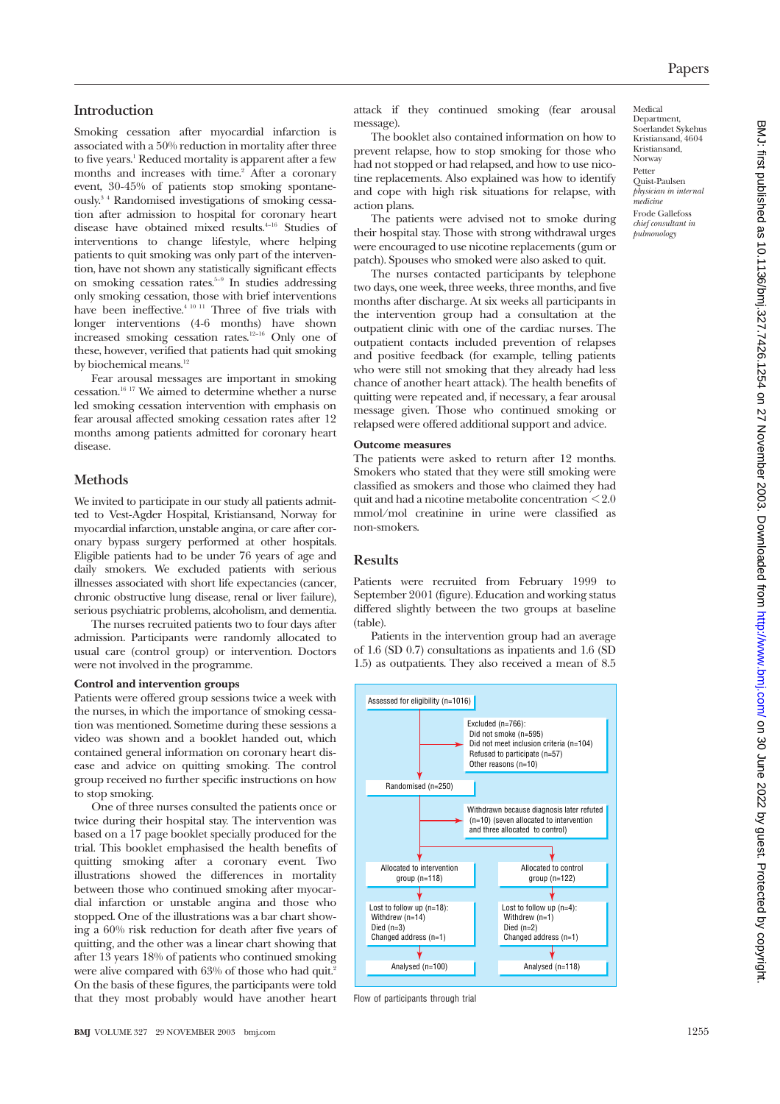# **Introduction**

Smoking cessation after myocardial infarction is associated with a 50% reduction in mortality after three to five years.1 Reduced mortality is apparent after a few months and increases with time.<sup>2</sup> After a coronary event, 30-45% of patients stop smoking spontaneously.3 4 Randomised investigations of smoking cessation after admission to hospital for coronary heart disease have obtained mixed results.4–16 Studies of interventions to change lifestyle, where helping patients to quit smoking was only part of the intervention, have not shown any statistically significant effects on smoking cessation rates. $5-9$  In studies addressing only smoking cessation, those with brief interventions have been ineffective.<sup>4 10 11</sup> Three of five trials with longer interventions (4-6 months) have shown increased smoking cessation rates.12–16 Only one of these, however, verified that patients had quit smoking by biochemical means.<sup>12</sup>

Fear arousal messages are important in smoking  $\,$  cessation. $^{16}$   $^{17}$  We aimed to determine whether a nurse led smoking cessation intervention with emphasis on fear arousal affected smoking cessation rates after 12 months among patients admitted for coronary heart disease.

# **Methods**

We invited to participate in our study all patients admitted to Vest-Agder Hospital, Kristiansand, Norway for myocardial infarction, unstable angina, or care after coronary bypass surgery performed at other hospitals. Eligible patients had to be under 76 years of age and daily smokers. We excluded patients with serious illnesses associated with short life expectancies (cancer, chronic obstructive lung disease, renal or liver failure), serious psychiatric problems, alcoholism, and dementia.

The nurses recruited patients two to four days after admission. Participants were randomly allocated to usual care (control group) or intervention. Doctors were not involved in the programme.

#### **Control and intervention groups**

Patients were offered group sessions twice a week with the nurses, in which the importance of smoking cessation was mentioned. Sometime during these sessions a video was shown and a booklet handed out, which contained general information on coronary heart disease and advice on quitting smoking. The control group received no further specific instructions on how to stop smoking.

One of three nurses consulted the patients once or twice during their hospital stay. The intervention was based on a 17 page booklet specially produced for the trial. This booklet emphasised the health benefits of quitting smoking after a coronary event. Two illustrations showed the differences in mortality between those who continued smoking after myocardial infarction or unstable angina and those who stopped. One of the illustrations was a bar chart showing a 60% risk reduction for death after five years of quitting, and the other was a linear chart showing that after 13 years 18% of patients who continued smoking were alive compared with 63% of those who had quit.<sup>3</sup> On the basis of these figures, the participants were told that they most probably would have another heart attack if they continued smoking (fear arousal message).

The booklet also contained information on how to prevent relapse, how to stop smoking for those who had not stopped or had relapsed, and how to use nicotine replacements. Also explained was how to identify and cope with high risk situations for relapse, with action plans.

The patients were advised not to smoke during their hospital stay. Those with strong withdrawal urges were encouraged to use nicotine replacements (gum or patch). Spouses who smoked were also asked to quit.

The nurses contacted participants by telephone two days, one week, three weeks, three months, and five months after discharge. At six weeks all participants in the intervention group had a consultation at the outpatient clinic with one of the cardiac nurses. The outpatient contacts included prevention of relapses and positive feedback (for example, telling patients who were still not smoking that they already had less chance of another heart attack). The health benefits of quitting were repeated and, if necessary, a fear arousal message given. Those who continued smoking or relapsed were offered additional support and advice.

#### **Outcome measures**

The patients were asked to return after 12 months. Smokers who stated that they were still smoking were classified as smokers and those who claimed they had quit and had a nicotine metabolite concentration < 2.0 mmol/mol creatinine in urine were classified as non-smokers.

#### **Results**

Patients were recruited from February 1999 to September 2001 (figure). Education and working status differed slightly between the two groups at baseline (table).

Patients in the intervention group had an average of 1.6 (SD 0.7) consultations as inpatients and 1.6 (SD 1.5) as outpatients. They also received a mean of 8.5



Flow of participants through trial

Medical Department, Soerlandet Sykehus Kristiansand, 4604 Kristiansand, Norway Petter Quist-Paulsen *physician in internal medicine* Frode Gallefoss *chief consultant in pulmonology*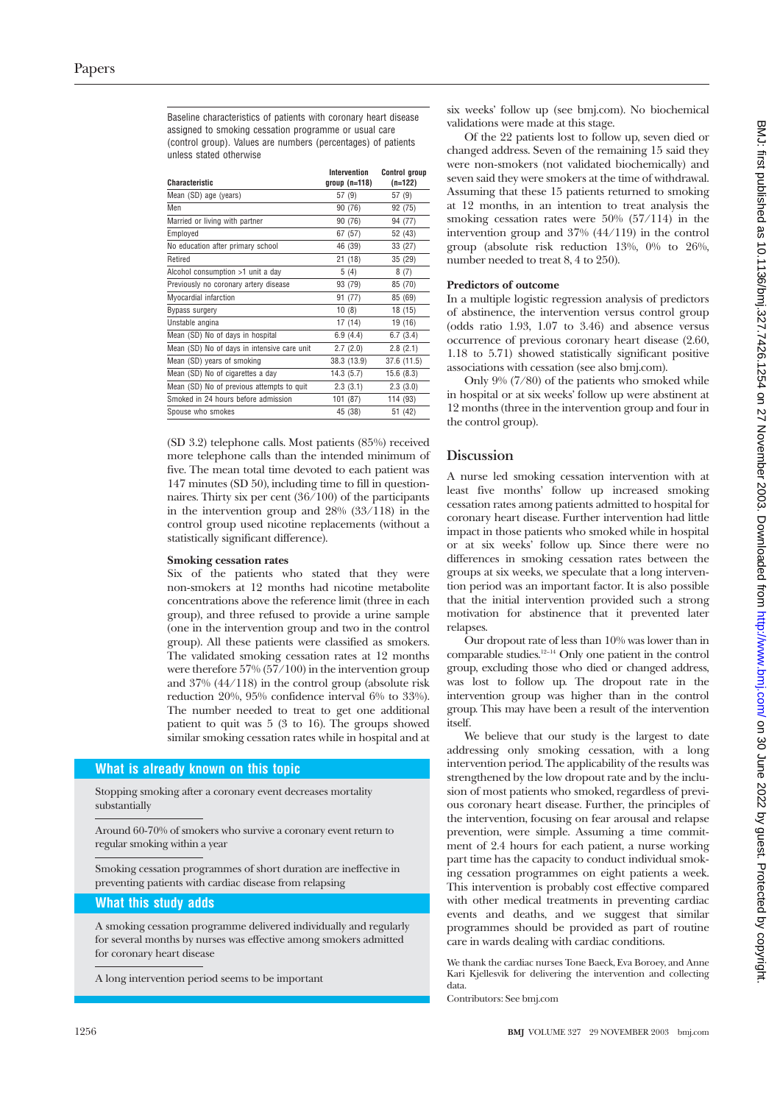Baseline characteristics of patients with coronary heart disease assigned to smoking cessation programme or usual care (control group). Values are numbers (percentages) of patients unless stated otherwise

| Characteristic                              | Intervention<br>$group(n=118)$ | <b>Control group</b><br>$(n=122)$ |
|---------------------------------------------|--------------------------------|-----------------------------------|
| Mean (SD) age (years)                       | 57 (9)                         | 57 (9)                            |
| Men                                         | 90 (76)                        | 92 (75)                           |
| Married or living with partner              | 90 (76)                        | 94 (77)                           |
| Employed                                    | 67 (57)                        | 52 (43)                           |
| No education after primary school           | 46 (39)                        | 33 (27)                           |
| Retired                                     | 21(18)                         | 35 (29)                           |
| Alcohol consumption >1 unit a day           | 5(4)                           | 8(7)                              |
| Previously no coronary artery disease       | 93 (79)                        | 85 (70)                           |
| Myocardial infarction                       | 91 (77)                        | 85 (69)                           |
| Bypass surgery                              | 10(8)                          | 18(15)                            |
| Unstable angina                             | 17 (14)                        | 19 (16)                           |
| Mean (SD) No of days in hospital            | 6.9(4.4)                       | 6.7(3.4)                          |
| Mean (SD) No of days in intensive care unit | 2.7(2.0)                       | 2.8(2.1)                          |
| Mean (SD) years of smoking                  | 38.3 (13.9)                    | 37.6 (11.5)                       |
| Mean (SD) No of cigarettes a day            | 14.3(5.7)                      | 15.6(8.3)                         |
| Mean (SD) No of previous attempts to quit   | 2.3(3.1)                       | 2.3(3.0)                          |
| Smoked in 24 hours before admission         | 101 (87)                       | 114 (93)                          |
| Spouse who smokes                           | 45 (38)                        | 51 (42)                           |

(SD 3.2) telephone calls. Most patients (85%) received more telephone calls than the intended minimum of five. The mean total time devoted to each patient was 147 minutes (SD 50), including time to fill in questionnaires. Thirty six per cent (36/100) of the participants in the intervention group and 28% (33/118) in the control group used nicotine replacements (without a statistically significant difference).

#### **Smoking cessation rates**

Six of the patients who stated that they were non-smokers at 12 months had nicotine metabolite concentrations above the reference limit (three in each group), and three refused to provide a urine sample (one in the intervention group and two in the control group). All these patients were classified as smokers. The validated smoking cessation rates at 12 months were therefore 57% (57/100) in the intervention group and 37% (44/118) in the control group (absolute risk reduction 20%, 95% confidence interval 6% to 33%). The number needed to treat to get one additional patient to quit was 5 (3 to 16). The groups showed similar smoking cessation rates while in hospital and at

#### **What is already known on this topic**

Stopping smoking after a coronary event decreases mortality substantially

Around 60-70% of smokers who survive a coronary event return to regular smoking within a year

Smoking cessation programmes of short duration are ineffective in preventing patients with cardiac disease from relapsing

#### **What this study adds**

A smoking cessation programme delivered individually and regularly for several months by nurses was effective among smokers admitted for coronary heart disease

A long intervention period seems to be important

six weeks' follow up (see bmj.com). No biochemical validations were made at this stage.

Of the 22 patients lost to follow up, seven died or changed address. Seven of the remaining 15 said they were non-smokers (not validated biochemically) and seven said they were smokers at the time of withdrawal. Assuming that these 15 patients returned to smoking at 12 months, in an intention to treat analysis the smoking cessation rates were 50% (57/114) in the intervention group and 37% (44/119) in the control group (absolute risk reduction 13%, 0% to 26%, number needed to treat 8, 4 to 250).

#### **Predictors of outcome**

In a multiple logistic regression analysis of predictors of abstinence, the intervention versus control group (odds ratio 1.93, 1.07 to 3.46) and absence versus occurrence of previous coronary heart disease (2.60, 1.18 to 5.71) showed statistically significant positive associations with cessation (see also bmj.com).

Only 9% (7/80) of the patients who smoked while in hospital or at six weeks' follow up were abstinent at 12 months (three in the intervention group and four in the control group).

#### **Discussion**

A nurse led smoking cessation intervention with at least five months' follow up increased smoking cessation rates among patients admitted to hospital for coronary heart disease. Further intervention had little impact in those patients who smoked while in hospital or at six weeks' follow up. Since there were no differences in smoking cessation rates between the groups at six weeks, we speculate that a long intervention period was an important factor. It is also possible that the initial intervention provided such a strong motivation for abstinence that it prevented later relapses.

Our dropout rate of less than 10% was lower than in comparable studies.12–14 Only one patient in the control group, excluding those who died or changed address, was lost to follow up. The dropout rate in the intervention group was higher than in the control group. This may have been a result of the intervention itself.

We believe that our study is the largest to date addressing only smoking cessation, with a long intervention period. The applicability of the results was strengthened by the low dropout rate and by the inclusion of most patients who smoked, regardless of previous coronary heart disease. Further, the principles of the intervention, focusing on fear arousal and relapse prevention, were simple. Assuming a time commitment of 2.4 hours for each patient, a nurse working part time has the capacity to conduct individual smoking cessation programmes on eight patients a week. This intervention is probably cost effective compared with other medical treatments in preventing cardiac events and deaths, and we suggest that similar programmes should be provided as part of routine care in wards dealing with cardiac conditions.

We thank the cardiac nurses Tone Baeck, Eva Boroey, and Anne Kari Kjellesvik for delivering the intervention and collecting data.

Contributors: See bmj.com